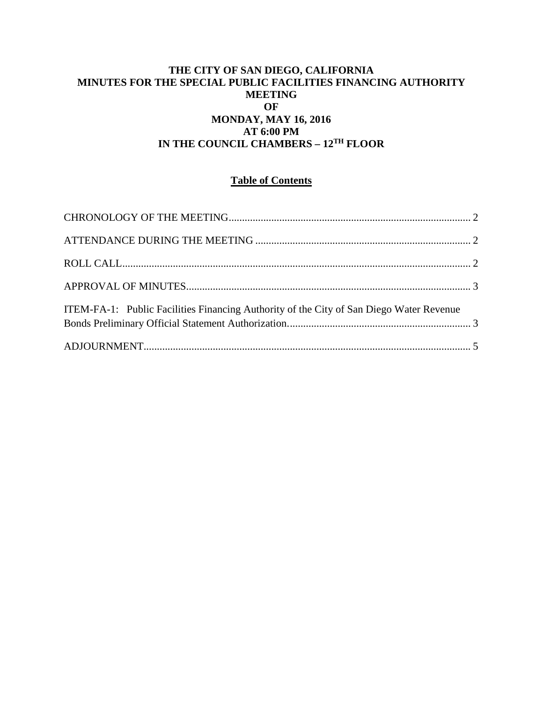# **THE CITY OF SAN DIEGO, CALIFORNIA MINUTES FOR THE SPECIAL PUBLIC FACILITIES FINANCING AUTHORITY MEETING OF MONDAY, MAY 16, 2016 AT 6:00 PM IN THE COUNCIL CHAMBERS – 12TH FLOOR**

# **Table of Contents**

| ITEM-FA-1: Public Facilities Financing Authority of the City of San Diego Water Revenue |  |
|-----------------------------------------------------------------------------------------|--|
|                                                                                         |  |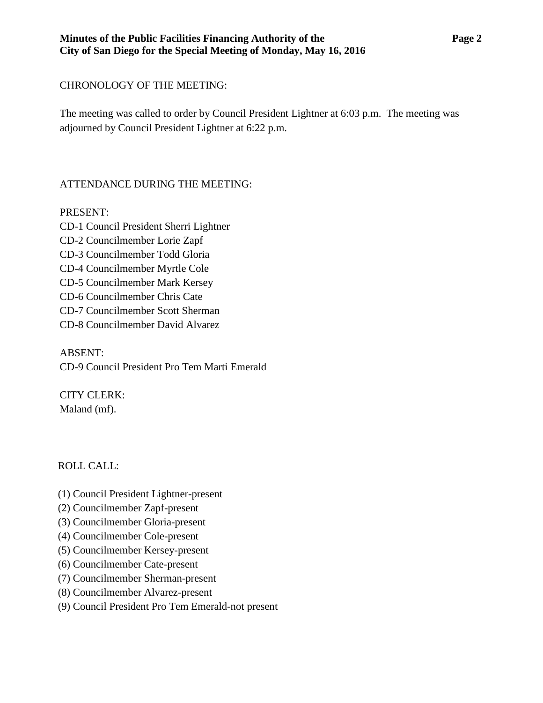## **Minutes of the Public Facilities Financing Authority of the Page 2 City of San Diego for the Special Meeting of Monday, May 16, 2016**

# <span id="page-1-0"></span>CHRONOLOGY OF THE MEETING:

The meeting was called to order by Council President Lightner at 6:03 p.m. The meeting was adjourned by Council President Lightner at 6:22 p.m.

# <span id="page-1-1"></span>ATTENDANCE DURING THE MEETING:

PRESENT:

CD-1 Council President Sherri Lightner CD-2 Councilmember Lorie Zapf CD-3 Councilmember Todd Gloria CD-4 Councilmember Myrtle Cole CD-5 Councilmember Mark Kersey CD-6 Councilmember Chris Cate CD-7 Councilmember Scott Sherman CD-8 Councilmember David Alvarez

ABSENT: CD-9 Council President Pro Tem Marti Emerald

CITY CLERK: Maland (mf).

<span id="page-1-2"></span>ROLL CALL:

- (1) Council President Lightner-present
- (2) Councilmember Zapf-present
- (3) Councilmember Gloria-present
- (4) Councilmember Cole-present
- (5) Councilmember Kersey-present
- (6) Councilmember Cate-present
- (7) Councilmember Sherman-present
- (8) Councilmember Alvarez-present
- (9) Council President Pro Tem Emerald-not present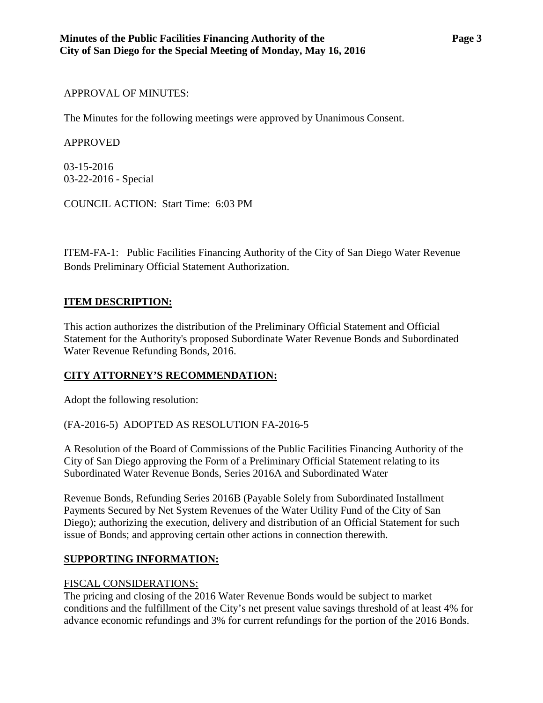### <span id="page-2-0"></span>APPROVAL OF MINUTES:

The Minutes for the following meetings were approved by Unanimous Consent.

### APPROVED

[03-15-2016](http://www.sandiego.gov/sites/default/files/03-15-16-minutes.pdf) [03-22-2016 -](http://www.sandiego.gov/sites/default/files/03-22-16-minutes.pdf) Special

COUNCIL ACTION: Start Time: 6:03 PM

<span id="page-2-1"></span>ITEM-FA-1: [Public Facilities Financing Authority of the City of San Diego Water Revenue](http://www.sandiego.gov/sites/default/files/fa-1_exhibits_2.pdf)  [Bonds Preliminary Official Statement Authorization.](http://www.sandiego.gov/sites/default/files/fa-1_exhibits_2.pdf)

## **ITEM DESCRIPTION:**

This action authorizes the distribution of the Preliminary Official Statement and Official Statement for the Authority's proposed Subordinate Water Revenue Bonds and Subordinated Water Revenue Refunding Bonds, 2016.

# **CITY ATTORNEY'S RECOMMENDATION:**

Adopt the following resolution:

(FA-2016-5) ADOPTED AS RESOLUTION FA-2016-5

A Resolution of the Board of Commissions of the Public Facilities Financing Authority of the City of San Diego approving the Form of a Preliminary Official Statement relating to its Subordinated Water Revenue Bonds, Series 2016A and Subordinated Water

Revenue Bonds, Refunding Series 2016B (Payable Solely from Subordinated Installment Payments Secured by Net System Revenues of the Water Utility Fund of the City of San Diego); authorizing the execution, delivery and distribution of an Official Statement for such issue of Bonds; and approving certain other actions in connection therewith.

# **SUPPORTING INFORMATION:**

### FISCAL CONSIDERATIONS:

The pricing and closing of the 2016 Water Revenue Bonds would be subject to market conditions and the fulfillment of the City's net present value savings threshold of at least 4% for advance economic refundings and 3% for current refundings for the portion of the 2016 Bonds.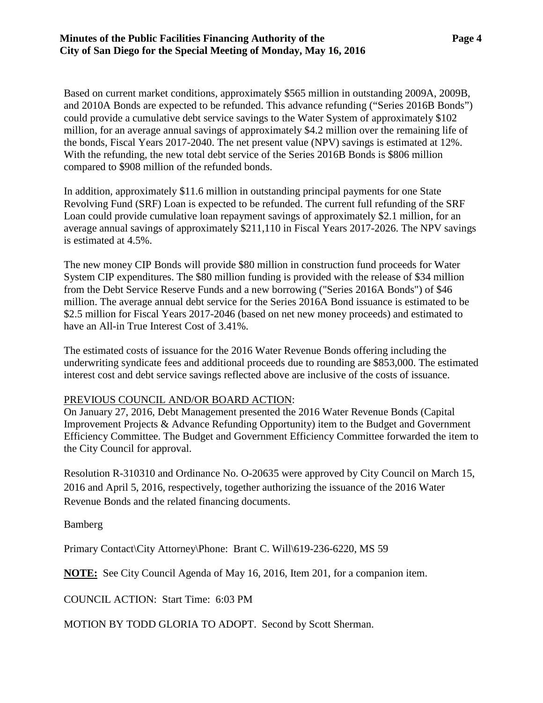Based on current market conditions, approximately \$565 million in outstanding 2009A, 2009B, and 2010A Bonds are expected to be refunded. This advance refunding ("Series 2016B Bonds") could provide a cumulative debt service savings to the Water System of approximately \$102 million, for an average annual savings of approximately \$4.2 million over the remaining life of the bonds, Fiscal Years 2017-2040. The net present value (NPV) savings is estimated at 12%. With the refunding, the new total debt service of the Series 2016B Bonds is \$806 million compared to \$908 million of the refunded bonds.

In addition, approximately \$11.6 million in outstanding principal payments for one State Revolving Fund (SRF) Loan is expected to be refunded. The current full refunding of the SRF Loan could provide cumulative loan repayment savings of approximately \$2.1 million, for an average annual savings of approximately \$211,110 in Fiscal Years 2017-2026. The NPV savings is estimated at 4.5%.

The new money CIP Bonds will provide \$80 million in construction fund proceeds for Water System CIP expenditures. The \$80 million funding is provided with the release of \$34 million from the Debt Service Reserve Funds and a new borrowing ("Series 2016A Bonds") of \$46 million. The average annual debt service for the Series 2016A Bond issuance is estimated to be \$2.5 million for Fiscal Years 2017-2046 (based on net new money proceeds) and estimated to have an All-in True Interest Cost of 3.41%.

The estimated costs of issuance for the 2016 Water Revenue Bonds offering including the underwriting syndicate fees and additional proceeds due to rounding are \$853,000. The estimated interest cost and debt service savings reflected above are inclusive of the costs of issuance.

### PREVIOUS COUNCIL AND/OR BOARD ACTION:

On January 27, 2016, Debt Management presented the 2016 Water Revenue Bonds (Capital Improvement Projects & Advance Refunding Opportunity) item to the Budget and Government Efficiency Committee. The Budget and Government Efficiency Committee forwarded the item to the City Council for approval.

Resolution R-310310 and Ordinance No. O-20635 were approved by City Council on March 15, 2016 and April 5, 2016, respectively, together authorizing the issuance of the 2016 Water Revenue Bonds and the related financing documents.

Bamberg

Primary Contact\City Attorney\Phone: Brant C. Will\619-236-6220, MS 59

**NOTE:** See City Council Agenda of May 16, 2016, Item 201, for a companion item.

COUNCIL ACTION: Start Time: 6:03 PM

MOTION BY TODD GLORIA TO ADOPT. Second by Scott Sherman.